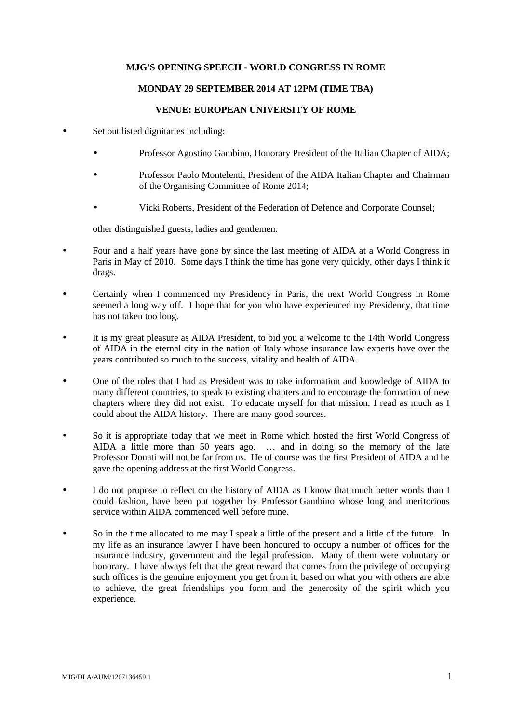## **MJG'S OPENING SPEECH - WORLD CONGRESS IN ROME**

## **MONDAY 29 SEPTEMBER 2014 AT 12PM (TIME TBA)**

## **VENUE: EUROPEAN UNIVERSITY OF ROME**

- Set out listed dignitaries including:
	- Professor Agostino Gambino, Honorary President of the Italian Chapter of AIDA;
	- Professor Paolo Montelenti, President of the AIDA Italian Chapter and Chairman of the Organising Committee of Rome 2014;
	- Vicki Roberts, President of the Federation of Defence and Corporate Counsel;

other distinguished guests, ladies and gentlemen.

- Four and a half years have gone by since the last meeting of AIDA at a World Congress in Paris in May of 2010. Some days I think the time has gone very quickly, other days I think it drags.
- Certainly when I commenced my Presidency in Paris, the next World Congress in Rome seemed a long way off. I hope that for you who have experienced my Presidency, that time has not taken too long.
- It is my great pleasure as AIDA President, to bid you a welcome to the 14th World Congress of AIDA in the eternal city in the nation of Italy whose insurance law experts have over the years contributed so much to the success, vitality and health of AIDA.
- One of the roles that I had as President was to take information and knowledge of AIDA to many different countries, to speak to existing chapters and to encourage the formation of new chapters where they did not exist. To educate myself for that mission, I read as much as I could about the AIDA history. There are many good sources.
- So it is appropriate today that we meet in Rome which hosted the first World Congress of AIDA a little more than 50 years ago. … and in doing so the memory of the late Professor Donati will not be far from us. He of course was the first President of AIDA and he gave the opening address at the first World Congress.
- I do not propose to reflect on the history of AIDA as I know that much better words than I could fashion, have been put together by Professor Gambino whose long and meritorious service within AIDA commenced well before mine.
- So in the time allocated to me may I speak a little of the present and a little of the future. In my life as an insurance lawyer I have been honoured to occupy a number of offices for the insurance industry, government and the legal profession. Many of them were voluntary or honorary. I have always felt that the great reward that comes from the privilege of occupying such offices is the genuine enjoyment you get from it, based on what you with others are able to achieve, the great friendships you form and the generosity of the spirit which you experience.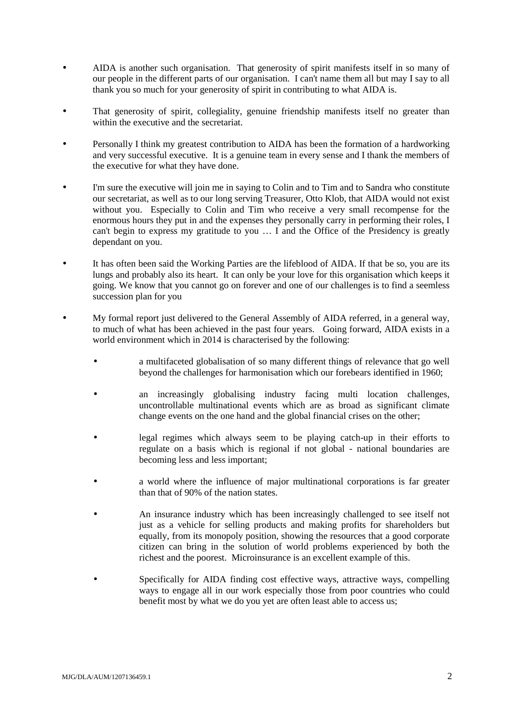- AIDA is another such organisation. That generosity of spirit manifests itself in so many of our people in the different parts of our organisation. I can't name them all but may I say to all thank you so much for your generosity of spirit in contributing to what AIDA is.
- That generosity of spirit, collegiality, genuine friendship manifests itself no greater than within the executive and the secretariat.
- Personally I think my greatest contribution to AIDA has been the formation of a hardworking and very successful executive. It is a genuine team in every sense and I thank the members of the executive for what they have done.
- I'm sure the executive will join me in saying to Colin and to Tim and to Sandra who constitute our secretariat, as well as to our long serving Treasurer, Otto Klob, that AIDA would not exist without you. Especially to Colin and Tim who receive a very small recompense for the enormous hours they put in and the expenses they personally carry in performing their roles, I can't begin to express my gratitude to you … I and the Office of the Presidency is greatly dependant on you.
- It has often been said the Working Parties are the lifeblood of AIDA. If that be so, you are its lungs and probably also its heart. It can only be your love for this organisation which keeps it going. We know that you cannot go on forever and one of our challenges is to find a seemless succession plan for you
- My formal report just delivered to the General Assembly of AIDA referred, in a general way, to much of what has been achieved in the past four years. Going forward, AIDA exists in a world environment which in 2014 is characterised by the following:
	- a multifaceted globalisation of so many different things of relevance that go well beyond the challenges for harmonisation which our forebears identified in 1960;
	- an increasingly globalising industry facing multi location challenges, uncontrollable multinational events which are as broad as significant climate change events on the one hand and the global financial crises on the other;
	- legal regimes which always seem to be playing catch-up in their efforts to regulate on a basis which is regional if not global - national boundaries are becoming less and less important;
	- a world where the influence of major multinational corporations is far greater than that of 90% of the nation states.
	- An insurance industry which has been increasingly challenged to see itself not just as a vehicle for selling products and making profits for shareholders but equally, from its monopoly position, showing the resources that a good corporate citizen can bring in the solution of world problems experienced by both the richest and the poorest. Microinsurance is an excellent example of this.
	- Specifically for AIDA finding cost effective ways, attractive ways, compelling ways to engage all in our work especially those from poor countries who could benefit most by what we do you yet are often least able to access us;